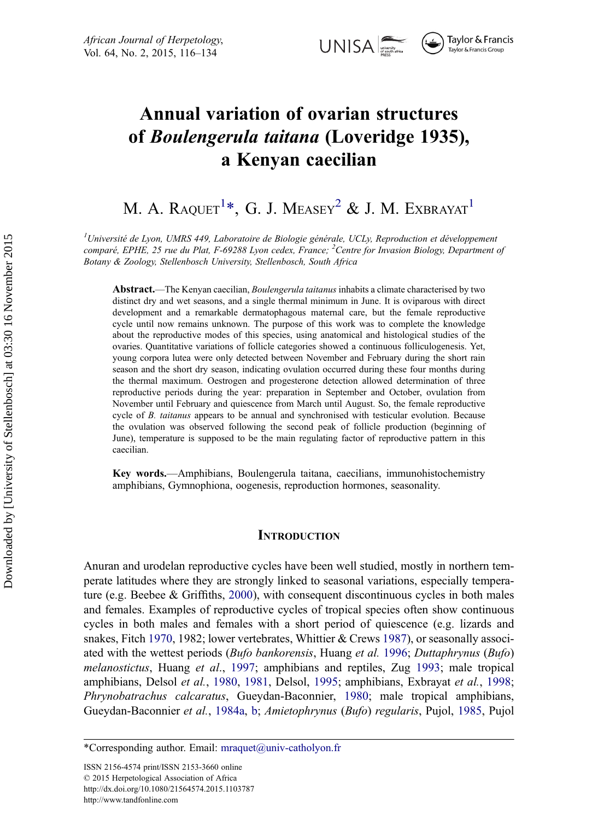

Taylor & Francis Taylor & Francis Group

# Annual variation of ovarian structures of Boulengerula taitana (Loveridge 1935), a Kenyan caecilian

# M. A. RAQUET $^{1*}$ , G. J. Measey $^{2}$  & J. M. Exbrayat $^{1}$

<sup>1</sup>Université de Lyon, UMRS 449, Laboratoire de Biologie générale, UCLy, Reproduction et développement comparé, EPHE, 25 rue du Plat, F-69288 Lyon cedex, France; <sup>2</sup>Centre for Invasion Biology, Department of Botany & Zoology, Stellenbosch University, Stellenbosch, South Africa

Abstract.—The Kenyan caecilian, *Boulengerula taitanus* inhabits a climate characterised by two distinct dry and wet seasons, and a single thermal minimum in June. It is oviparous with direct development and a remarkable dermatophagous maternal care, but the female reproductive cycle until now remains unknown. The purpose of this work was to complete the knowledge about the reproductive modes of this species, using anatomical and histological studies of the ovaries. Quantitative variations of follicle categories showed a continuous folliculogenesis. Yet, young corpora lutea were only detected between November and February during the short rain season and the short dry season, indicating ovulation occurred during these four months during the thermal maximum. Oestrogen and progesterone detection allowed determination of three reproductive periods during the year: preparation in September and October, ovulation from November until February and quiescence from March until August. So, the female reproductive cycle of B. taitanus appears to be annual and synchronised with testicular evolution. Because the ovulation was observed following the second peak of follicle production (beginning of June), temperature is supposed to be the main regulating factor of reproductive pattern in this caecilian.

Key words.—Amphibians, Boulengerula taitana, caecilians, immunohistochemistry amphibians, Gymnophiona, oogenesis, reproduction hormones, seasonality.

#### **INTRODUCTION**

Anuran and urodelan reproductive cycles have been well studied, mostly in northern temperate latitudes where they are strongly linked to seasonal variations, especially temperature (e.g. Beebee & Griffiths, [2000\)](#page-15-0), with consequent discontinuous cycles in both males and females. Examples of reproductive cycles of tropical species often show continuous cycles in both males and females with a short period of quiescence (e.g. lizards and snakes, Fitch [1970,](#page-16-0) 1982; lower vertebrates, Whittier & Crews [1987](#page-18-0)), or seasonally associated with the wettest periods (Bufo bankorensis, Huang et al. [1996;](#page-17-0) Duttaphrynus (Bufo) melanostictus, Huang et al., [1997](#page-17-0); amphibians and reptiles, Zug [1993](#page-18-0); male tropical amphibians, Delsol et al., [1980,](#page-16-0) [1981,](#page-16-0) Delsol, [1995](#page-16-0); amphibians, Exbrayat et al., [1998;](#page-16-0) Phrynobatrachus calcaratus, Gueydan-Baconnier, [1980;](#page-17-0) male tropical amphibians, Gueydan-Baconnier et al., [1984a,](#page-17-0) [b;](#page-17-0) Amietophrynus (Bufo) regularis, Pujol, [1985,](#page-17-0) Pujol

<sup>\*</sup>Corresponding author. Email:  $m \cdot \alpha$  maguet  $\alpha$  univ-catholyon.fr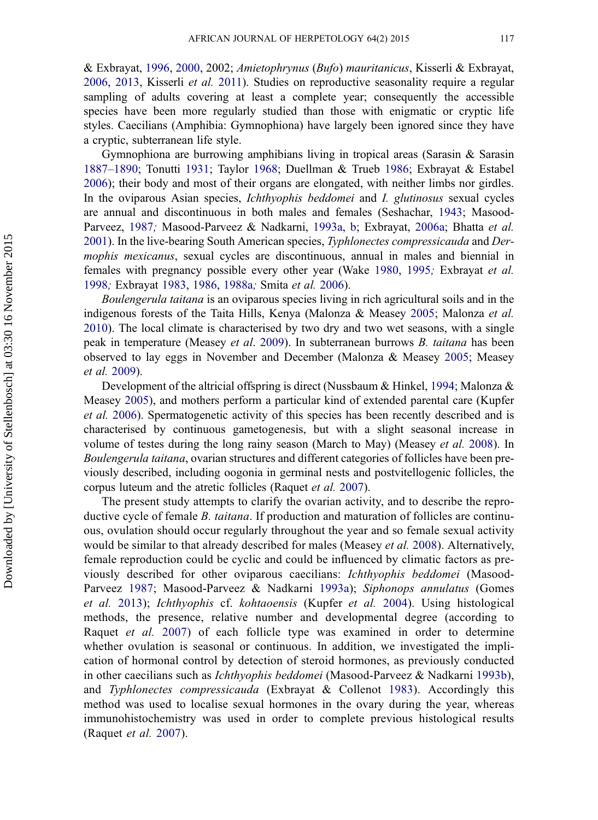& Exbrayat, [1996,](#page-18-0) [2000,](#page-18-0) 2002; Amietophrynus (Bufo) mauritanicus, Kisserli & Exbrayat, [2006](#page-17-0), [2013,](#page-17-0) Kisserli et al. [2011\)](#page-17-0). Studies on reproductive seasonality require a regular sampling of adults covering at least a complete year; consequently the accessible species have been more regularly studied than those with enigmatic or cryptic life styles. Caecilians (Amphibia: Gymnophiona) have largely been ignored since they have a cryptic, subterranean life style.

Gymnophiona are burrowing amphibians living in tropical areas (Sarasin & Sarasin [1887](#page-18-0)–[1890](#page-18-0); Tonutti [1931;](#page-18-0) Taylor [1968](#page-18-0); Duellman & Trueb [1986](#page-16-0); Exbrayat & Estabel [2006](#page-16-0)); their body and most of their organs are elongated, with neither limbs nor girdles. In the oviparous Asian species, Ichthyophis beddomei and I. glutinosus sexual cycles are annual and discontinuous in both males and females (Seshachar, [1943;](#page-18-0) Masood-Parveez, [1987](#page-17-0); Masood-Parveez & Nadkarni, [1993a](#page-17-0), [b;](#page-17-0) Exbrayat, [2006a;](#page-16-0) Bhatta et al. [2001](#page-15-0)). In the live-bearing South American species, Typhlonectes compressicauda and Dermophis mexicanus, sexual cycles are discontinuous, annual in males and biennial in females with pregnancy possible every other year (Wake [1980,](#page-18-0) [1995](#page-18-0); Exbrayat et al. [1998](#page-16-0); Exbrayat [1983](#page-16-0), [1986,](#page-16-0) [1988a](#page-16-0); Smita et al. [2006](#page-18-0)).

Boulengerula taitana is an oviparous species living in rich agricultural soils and in the indigenous forests of the Taita Hills, Kenya (Malonza & Measey [2005;](#page-17-0) Malonza et al. [2010](#page-17-0)). The local climate is characterised by two dry and two wet seasons, with a single peak in temperature (Measey et al. [2009\)](#page-17-0). In subterranean burrows B. taitana has been observed to lay eggs in November and December (Malonza & Measey [2005;](#page-17-0) Measey et al. [2009\)](#page-17-0).

Development of the altricial offspring is direct (Nussbaum & Hinkel, [1994](#page-17-0); Malonza & Measey [2005](#page-17-0)), and mothers perform a particular kind of extended parental care (Kupfer et al. [2006](#page-17-0)). Spermatogenetic activity of this species has been recently described and is characterised by continuous gametogenesis, but with a slight seasonal increase in volume of testes during the long rainy season (March to May) (Measey et al. [2008](#page-17-0)). In Boulengerula taitana, ovarian structures and different categories of follicles have been previously described, including oogonia in germinal nests and postvitellogenic follicles, the corpus luteum and the atretic follicles (Raquet et al. [2007\)](#page-18-0).

The present study attempts to clarify the ovarian activity, and to describe the reproductive cycle of female B. taitana. If production and maturation of follicles are continuous, ovulation should occur regularly throughout the year and so female sexual activity would be similar to that already described for males (Measey *et al.* [2008\)](#page-17-0). Alternatively, female reproduction could be cyclic and could be influenced by climatic factors as previously described for other oviparous caecilians: Ichthyophis beddomei (Masood-Parveez [1987](#page-17-0); Masood-Parveez & Nadkarni [1993a\)](#page-17-0); Siphonops annulatus (Gomes et al. [2013](#page-16-0)); Ichthyophis cf. kohtaoensis (Kupfer et al. [2004](#page-17-0)). Using histological methods, the presence, relative number and developmental degree (according to Raquet et al. [2007\)](#page-18-0) of each follicle type was examined in order to determine whether ovulation is seasonal or continuous. In addition, we investigated the implication of hormonal control by detection of steroid hormones, as previously conducted in other caecilians such as Ichthyophis beddomei (Masood-Parveez & Nadkarni [1993b\)](#page-17-0), and Typhlonectes compressicauda (Exbrayat & Collenot [1983\)](#page-16-0). Accordingly this method was used to localise sexual hormones in the ovary during the year, whereas immunohistochemistry was used in order to complete previous histological results (Raquet et al. [2007](#page-18-0)).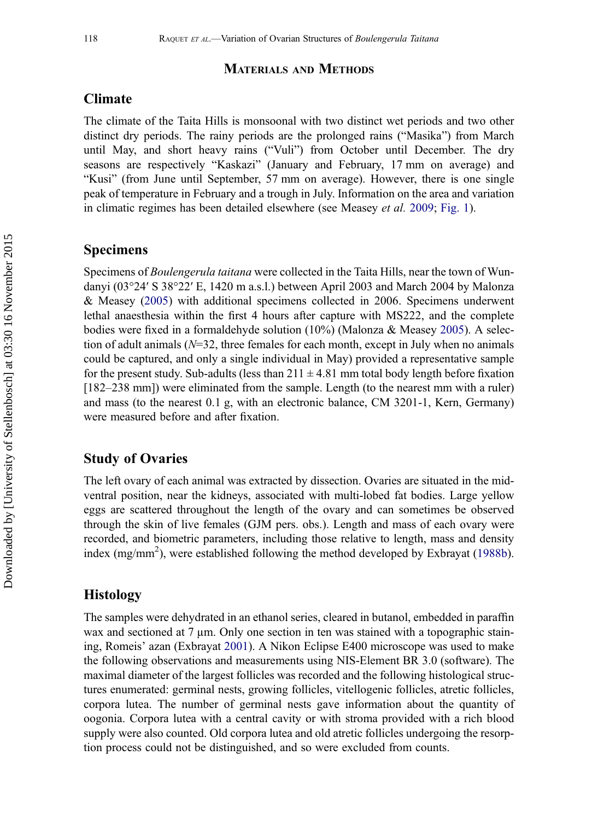#### MATERIALS AND METHODS

## Climate

The climate of the Taita Hills is monsoonal with two distinct wet periods and two other distinct dry periods. The rainy periods are the prolonged rains ("Masika") from March until May, and short heavy rains ("Vuli") from October until December. The dry seasons are respectively "Kaskazi" (January and February, 17 mm on average) and "Kusi" (from June until September, 57 mm on average). However, there is one single peak of temperature in February and a trough in July. Information on the area and variation in climatic regimes has been detailed elsewhere (see Measey et al. [2009;](#page-17-0) [Fig. 1](#page-4-0)).

### Specimens

Specimens of Boulengerula taitana were collected in the Taita Hills, near the town of Wundanyi (03°24′ S 38°22′ E, 1420 m a.s.l.) between April 2003 and March 2004 by Malonza & Measey ([2005\)](#page-17-0) with additional specimens collected in 2006. Specimens underwent lethal anaesthesia within the first 4 hours after capture with MS222, and the complete bodies were fixed in a formaldehyde solution (10%) (Malonza & Measey [2005](#page-17-0)). A selection of adult animals  $(N=32)$ , three females for each month, except in July when no animals could be captured, and only a single individual in May) provided a representative sample for the present study. Sub-adults (less than  $211 \pm 4.81$  mm total body length before fixation [182–238 mm]) were eliminated from the sample. Length (to the nearest mm with a ruler) and mass (to the nearest 0.1 g, with an electronic balance, CM 3201-1, Kern, Germany) were measured before and after fixation.

### Study of Ovaries

The left ovary of each animal was extracted by dissection. Ovaries are situated in the midventral position, near the kidneys, associated with multi-lobed fat bodies. Large yellow eggs are scattered throughout the length of the ovary and can sometimes be observed through the skin of live females (GJM pers. obs.). Length and mass of each ovary were recorded, and biometric parameters, including those relative to length, mass and density index (mg/mm<sup>2</sup>), were established following the method developed by Exbrayat ([1988b\)](#page-16-0).

#### Histology

The samples were dehydrated in an ethanol series, cleared in butanol, embedded in paraffin wax and sectioned at  $7 \mu m$ . Only one section in ten was stained with a topographic staining, Romeis' azan (Exbrayat [2001\)](#page-16-0). A Nikon Eclipse E400 microscope was used to make the following observations and measurements using NIS-Element BR 3.0 (software). The maximal diameter of the largest follicles was recorded and the following histological structures enumerated: germinal nests, growing follicles, vitellogenic follicles, atretic follicles, corpora lutea. The number of germinal nests gave information about the quantity of oogonia. Corpora lutea with a central cavity or with stroma provided with a rich blood supply were also counted. Old corpora lutea and old atretic follicles undergoing the resorption process could not be distinguished, and so were excluded from counts.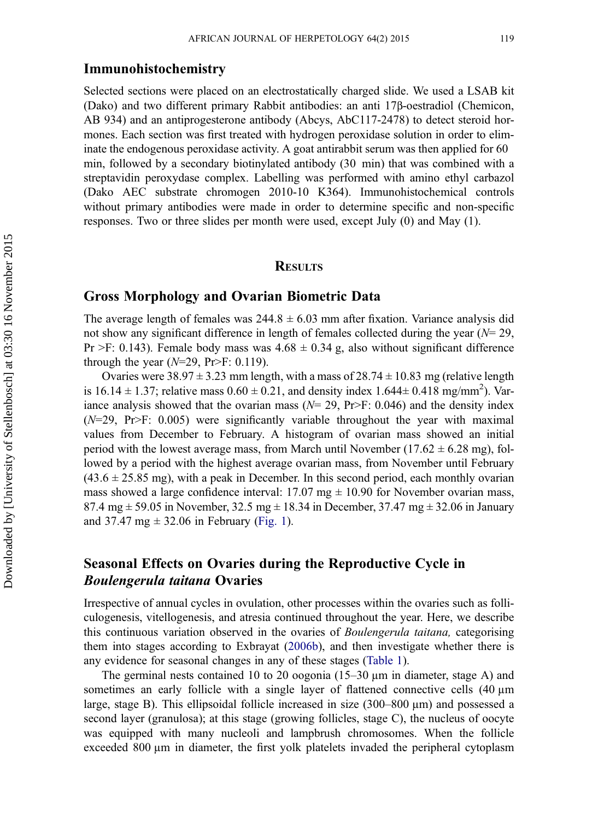#### Immunohistochemistry

Selected sections were placed on an electrostatically charged slide. We used a LSAB kit (Dako) and two different primary Rabbit antibodies: an anti 17β-oestradiol (Chemicon, AB 934) and an antiprogesterone antibody (Abcys, AbC117-2478) to detect steroid hormones. Each section was first treated with hydrogen peroxidase solution in order to eliminate the endogenous peroxidase activity. A goat antirabbit serum was then applied for 60 min, followed by a secondary biotinylated antibody (30 min) that was combined with a streptavidin peroxydase complex. Labelling was performed with amino ethyl carbazol (Dako AEC substrate chromogen 2010-10 K364). Immunohistochemical controls without primary antibodies were made in order to determine specific and non-specific responses. Two or three slides per month were used, except July (0) and May (1).

#### **RESULTS**

#### Gross Morphology and Ovarian Biometric Data

The average length of females was  $244.8 \pm 6.03$  mm after fixation. Variance analysis did not show any significant difference in length of females collected during the year  $(N= 29)$ , Pr  $>F: 0.143$ ). Female body mass was  $4.68 \pm 0.34$  g, also without significant difference through the year ( $N=29$ , Pr>F: 0.119).

Ovaries were 38.97  $\pm$  3.23 mm length, with a mass of 28.74  $\pm$  10.83 mg (relative length is 16.14  $\pm$  1.37; relative mass 0.60  $\pm$  0.21, and density index 1.644 $\pm$  0.418 mg/mm<sup>2</sup>). Variance analysis showed that the ovarian mass ( $N= 29$ , Pr>F: 0.046) and the density index  $(N=29, \text{Pr} > F: 0.005)$  were significantly variable throughout the year with maximal values from December to February. A histogram of ovarian mass showed an initial period with the lowest average mass, from March until November ( $17.62 \pm 6.28$  mg), followed by a period with the highest average ovarian mass, from November until February  $(43.6 \pm 25.85 \text{ mg})$ , with a peak in December. In this second period, each monthly ovarian mass showed a large confidence interval:  $17.07 \text{ mg} \pm 10.90 \text{ for November ovarian mass}$ , 87.4 mg  $\pm$  59.05 in November, 32.5 mg  $\pm$  18.34 in December, 37.47 mg  $\pm$  32.06 in January and 37.47 mg  $\pm$  32.06 in February [\(Fig. 1\)](#page-4-0).

## Seasonal Effects on Ovaries during the Reproductive Cycle in Boulengerula taitana Ovaries

Irrespective of annual cycles in ovulation, other processes within the ovaries such as folliculogenesis, vitellogenesis, and atresia continued throughout the year. Here, we describe this continuous variation observed in the ovaries of Boulengerula taitana, categorising them into stages according to Exbrayat ([2006b\)](#page-16-0), and then investigate whether there is any evidence for seasonal changes in any of these stages [\(Table 1\)](#page-5-0).

The germinal nests contained 10 to 20 oogonia  $(15-30 \,\mu m)$  in diameter, stage A) and sometimes an early follicle with a single layer of flattened connective cells  $(40 \mu m)$ large, stage B). This ellipsoidal follicle increased in size (300–800 µm) and possessed a second layer (granulosa); at this stage (growing follicles, stage C), the nucleus of oocyte was equipped with many nucleoli and lampbrush chromosomes. When the follicle exceeded 800 µm in diameter, the first yolk platelets invaded the peripheral cytoplasm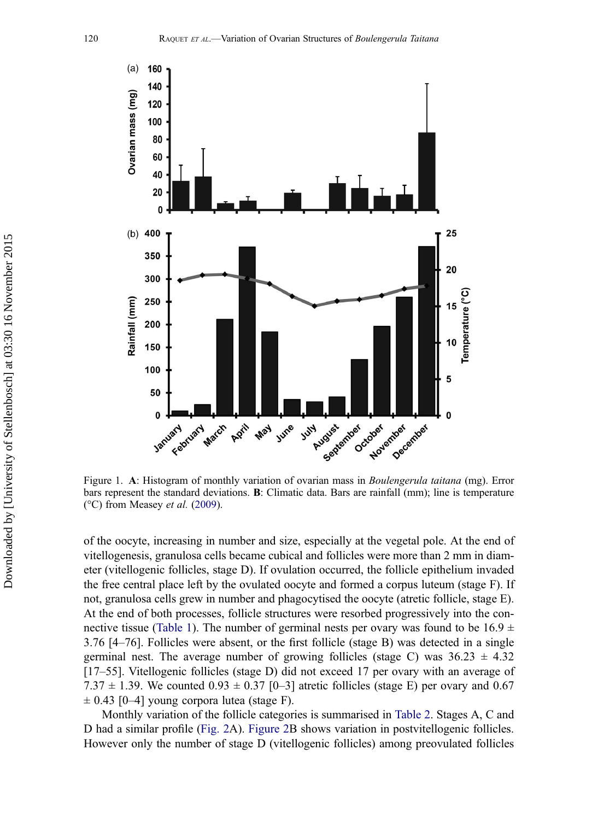<span id="page-4-0"></span>

Figure 1. A: Histogram of monthly variation of ovarian mass in Boulengerula taitana (mg). Error bars represent the standard deviations. B: Climatic data. Bars are rainfall (mm); line is temperature ( $^{\circ}$ C) from Measey *et al.* ([2009\)](#page-17-0).

of the oocyte, increasing in number and size, especially at the vegetal pole. At the end of vitellogenesis, granulosa cells became cubical and follicles were more than 2 mm in diameter (vitellogenic follicles, stage D). If ovulation occurred, the follicle epithelium invaded the free central place left by the ovulated oocyte and formed a corpus luteum (stage F). If not, granulosa cells grew in number and phagocytised the oocyte (atretic follicle, stage E). At the end of both processes, follicle structures were resorbed progressively into the con-nective tissue [\(Table 1](#page-5-0)). The number of germinal nests per ovary was found to be  $16.9 \pm$ 3.76 [4–76]. Follicles were absent, or the first follicle (stage B) was detected in a single germinal nest. The average number of growing follicles (stage C) was  $36.23 \pm 4.32$ [17–55]. Vitellogenic follicles (stage D) did not exceed 17 per ovary with an average of 7.37  $\pm$  1.39. We counted 0.93  $\pm$  0.37 [0–3] atretic follicles (stage E) per ovary and 0.67  $\pm$  0.43 [0–4] young corpora lutea (stage F).

Monthly variation of the follicle categories is summarised in [Table 2.](#page-6-0) Stages A, C and D had a similar profile [\(Fig. 2](#page-7-0)A). [Figure 2B](#page-7-0) shows variation in postvitellogenic follicles. However only the number of stage D (vitellogenic follicles) among preovulated follicles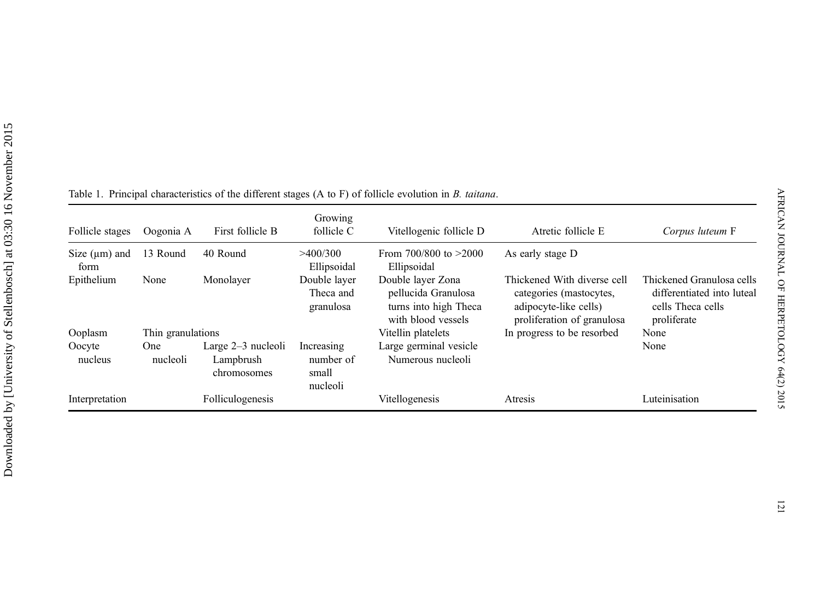| Follicle stages            | Oogonia A         | First follicle B                                 | Growing<br>follicle C                        | Vitellogenic follicle D                                                                 | Atretic follicle E                                                                                            | Corpus luteum F                                                                             |
|----------------------------|-------------------|--------------------------------------------------|----------------------------------------------|-----------------------------------------------------------------------------------------|---------------------------------------------------------------------------------------------------------------|---------------------------------------------------------------------------------------------|
| Size $(\mu m)$ and<br>form | 13 Round          | 40 Round                                         | >400/300<br>Ellipsoidal                      | From $700/800$ to $>2000$<br>Ellipsoidal                                                | As early stage D                                                                                              |                                                                                             |
| Epithelium                 | None              | Monolayer                                        | Double layer<br>Theca and<br>granulosa       | Double layer Zona<br>pellucida Granulosa<br>turns into high Theca<br>with blood vessels | Thickened With diverse cell<br>categories (mastocytes,<br>adipocyte-like cells)<br>proliferation of granulosa | Thickened Granulosa cells<br>differentiated into luteal<br>cells Theca cells<br>proliferate |
| Ooplasm                    | Thin granulations |                                                  |                                              | Vitellin platelets                                                                      | In progress to be resorbed                                                                                    | None                                                                                        |
| Oocyte<br>nucleus          | One<br>nucleoli   | Large $2-3$ nucleoli<br>Lampbrush<br>chromosomes | Increasing<br>number of<br>small<br>nucleoli | Large germinal vesicle<br>Numerous nucleoli                                             |                                                                                                               | None                                                                                        |
| Interpretation             |                   | Folliculogenesis                                 |                                              | Vitellogenesis                                                                          | Atresis                                                                                                       | Luteinisation                                                                               |

<span id="page-5-0"></span>Table 1. Principal characteristics of the different stages (A to F) of follicle evolution in B. taitana.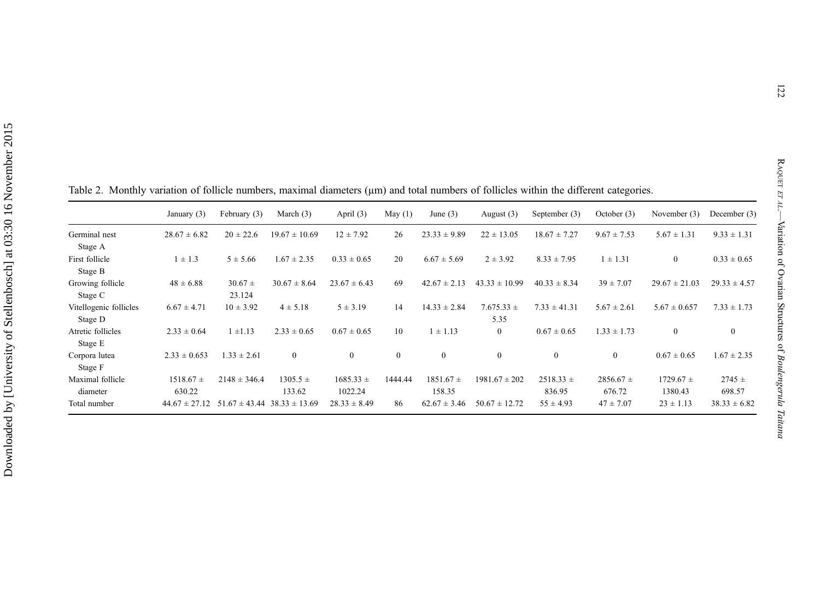|                                   | January (3)             | February (3)          | March $(3)$            | April $(3)$              | May $(1)$    | June $(3)$              | August $(3)$           | September (3)           | October $(3)$           | November (3)             | December $(3)$       |
|-----------------------------------|-------------------------|-----------------------|------------------------|--------------------------|--------------|-------------------------|------------------------|-------------------------|-------------------------|--------------------------|----------------------|
| Germinal nest<br>Stage A          | $28.67 \pm 6.82$        | $20 \pm 22.6$         | $19.67 \pm 10.69$      | $12 \pm 7.92$            | 26           | $23.33 \pm 9.89$        | $22 \pm 13.05$         | $18.67 \pm 7.27$        | $9.67 \pm 7.53$         | $5.67 \pm 1.31$          | $9.33 \pm 1.31$      |
| First follicle<br>Stage B         | $1 \pm 1.3$             | $5 \pm 5.66$          | $1.67 \pm 2.35$        | $0.33 \pm 0.65$          | 20           | $6.67 \pm 5.69$         | $2 \pm 3.92$           | $8.33 \pm 7.95$         | $1 \pm 1.31$            | $\mathbf{0}$             | $0.33 \pm 0.65$      |
| Growing follicle<br>Stage C       | $48 \pm 6.88$           | $30.67 \pm$<br>23.124 | $30.67 \pm 8.64$       | $23.67 \pm 6.43$         | 69           | $42.67 \pm 2.13$        | $43.33 \pm 10.99$      | $40.33 \pm 8.34$        | $39 \pm 7.07$           | $29.67 \pm 21.03$        | $29.33 \pm 4.57$     |
| Vitellogenic follicles<br>Stage D | $6.67 \pm 4.71$         | $10 \pm 3.92$         | $4 \pm 5.18$           | $5 \pm 3.19$             | 14           | $14.33 \pm 2.84$        | $7.675.33 \pm$<br>5.35 | $7.33 \pm 41.31$        | $5.67 \pm 2.61$         | $5.67 \pm 0.657$         | $7.33 \pm 1.73$      |
| Atretic follicles<br>Stage E      | $2.33 \pm 0.64$         | $1 \pm 1.13$          | $2.33 \pm 0.65$        | $0.67 \pm 0.65$          | 10           | $1 \pm 1.13$            | $\mathbf{0}$           | $0.67 \pm 0.65$         | $1.33 \pm 1.73$         | $\mathbf{0}$             | $\mathbf{0}$         |
| Corpora lutea<br>Stage F          | $2.33 \pm 0.653$        | $1.33 \pm 2.61$       | $\boldsymbol{0}$       | $\mathbf{0}$             | $\mathbf{0}$ | $\boldsymbol{0}$        | $\mathbf{0}$           | $\mathbf{0}$            | $\mathbf{0}$            | $0.67 \pm 0.65$          | $1.67 \pm 2.35$      |
| Maximal follicle<br>diameter      | $1518.67 \pm$<br>630.22 | $2148 \pm 346.4$      | $1305.5 \pm$<br>133.62 | $1685.33 \pm$<br>1022.24 | 1444.44      | $1851.67 \pm$<br>158.35 | $1981.67 \pm 202$      | $2518.33 \pm$<br>836.95 | $2856.67 \pm$<br>676.72 | $1729.67 \pm$<br>1380.43 | $2745 \pm$<br>698.57 |
| Total number                      | $44.67 \pm 27.12$       | $51.67 \pm 43.44$     | $38.33 \pm 13.69$      | $28.33 \pm 8.49$         | 86           | $62.67 \pm 3.46$        | $50.67 \pm 12.72$      | $55 \pm 4.93$           | $47 \pm 7.07$           | $23 \pm 1.13$            | $38.33 \pm 6.82$     |

<span id="page-6-0"></span>Table 2. Monthly variation of follicle numbers, maximal diameters ( $\mu$ m) and total numbers of follicles within the different categories.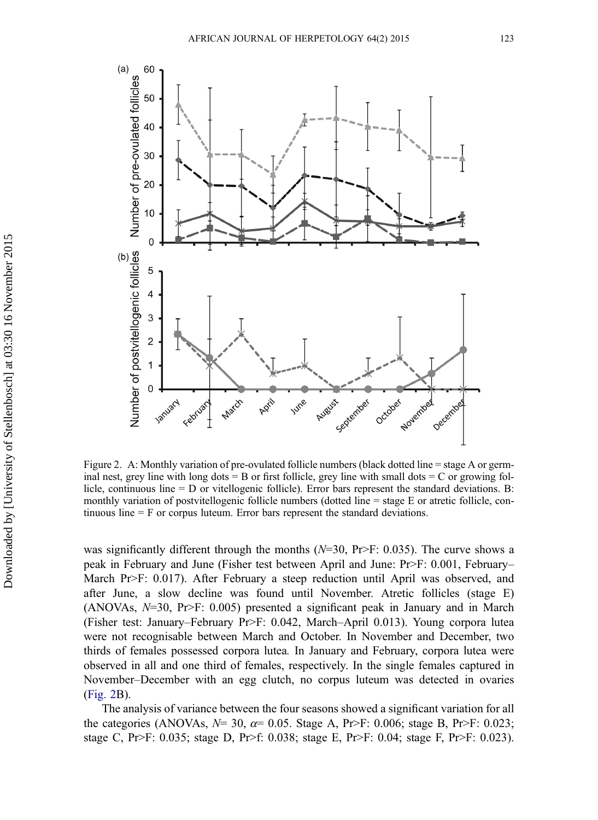<span id="page-7-0"></span>

Figure 2. A: Monthly variation of pre-ovulated follicle numbers (black dotted line = stage A or germinal nest, grey line with long dots  $=$  B or first follicle, grey line with small dots  $=$  C or growing follicle, continuous line = D or vitellogenic follicle). Error bars represent the standard deviations. B: monthly variation of postvitellogenic follicle numbers (dotted line = stage E or atretic follicle, continuous line = F or corpus luteum. Error bars represent the standard deviations.

was significantly different through the months ( $N=30$ , Pr>F: 0.035). The curve shows a peak in February and June (Fisher test between April and June: Pr>F: 0.001, February– March Pr>F: 0.017). After February a steep reduction until April was observed, and after June, a slow decline was found until November. Atretic follicles (stage E) (ANOVAs,  $N=30$ , Pr>F: 0.005) presented a significant peak in January and in March (Fisher test: January–February Pr>F: 0.042, March–April 0.013). Young corpora lutea were not recognisable between March and October. In November and December, two thirds of females possessed corpora lutea. In January and February, corpora lutea were observed in all and one third of females, respectively. In the single females captured in November–December with an egg clutch, no corpus luteum was detected in ovaries (Fig. 2B).

The analysis of variance between the four seasons showed a significant variation for all the categories (ANOVAs,  $N=30$ ,  $\alpha=0.05$ . Stage A, Pr>F: 0.006; stage B, Pr>F: 0.023; stage C, Pr>F: 0.035; stage D, Pr>f: 0.038; stage E, Pr>F: 0.04; stage F, Pr>F: 0.023).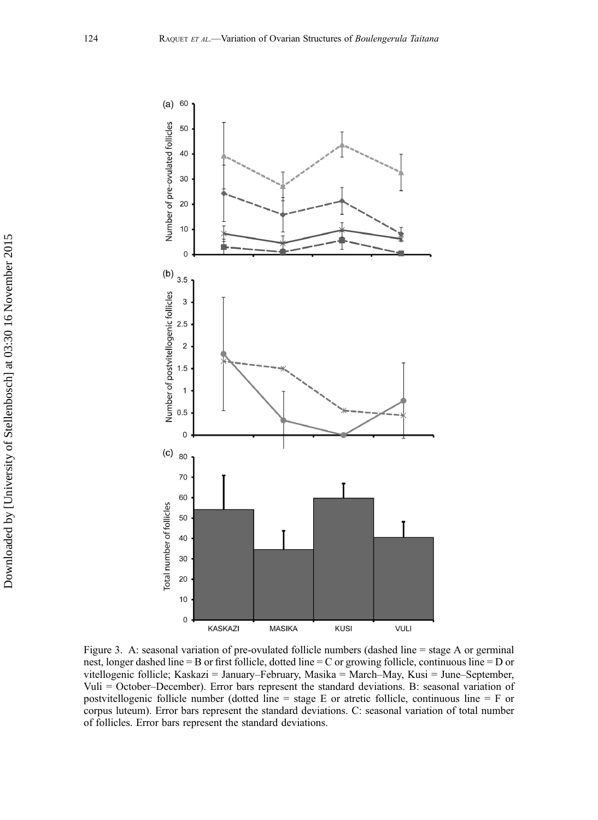<span id="page-8-0"></span>

Figure 3. A: seasonal variation of pre-ovulated follicle numbers (dashed line = stage A or germinal nest, longer dashed line = B or first follicle, dotted line = C or growing follicle, continuous line = D or vitellogenic follicle; Kaskazi = January–February, Masika = March–May, Kusi = June–September, Vuli = October–December). Error bars represent the standard deviations. B: seasonal variation of postvitellogenic follicle number (dotted line = stage E or atretic follicle, continuous line = F or corpus luteum). Error bars represent the standard deviations. C: seasonal variation of total number of follicles. Error bars represent the standard deviations.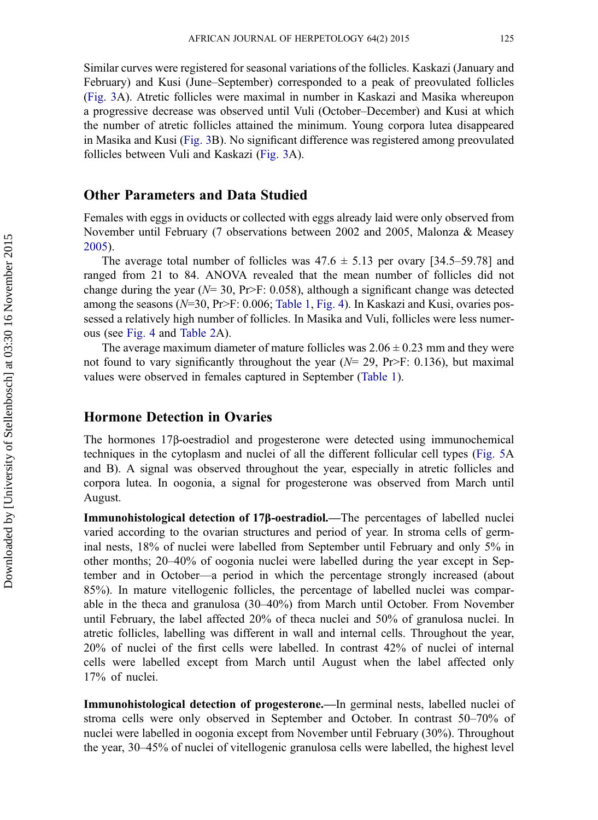Similar curves were registered for seasonal variations of the follicles. Kaskazi (January and February) and Kusi (June–September) corresponded to a peak of preovulated follicles ([Fig. 3A](#page-8-0)). Atretic follicles were maximal in number in Kaskazi and Masika whereupon a progressive decrease was observed until Vuli (October–December) and Kusi at which the number of atretic follicles attained the minimum. Young corpora lutea disappeared in Masika and Kusi [\(Fig. 3](#page-8-0)B). No significant difference was registered among preovulated follicles between Vuli and Kaskazi ([Fig. 3](#page-8-0)A).

#### Other Parameters and Data Studied

Females with eggs in oviducts or collected with eggs already laid were only observed from November until February (7 observations between 2002 and 2005, Malonza & Measey [2005](#page-17-0)).

The average total number of follicles was  $47.6 \pm 5.13$  per ovary [34.5–59.78] and ranged from 21 to 84. ANOVA revealed that the mean number of follicles did not change during the year ( $N= 30$ , Pr>F: 0.058), although a significant change was detected among the seasons  $(N=30, Pr>F: 0.006$ ; [Table 1,](#page-5-0) [Fig. 4\)](#page-10-0). In Kaskazi and Kusi, ovaries possessed a relatively high number of follicles. In Masika and Vuli, follicles were less numerous (see [Fig. 4](#page-10-0) and [Table 2](#page-6-0)A).

The average maximum diameter of mature follicles was  $2.06 \pm 0.23$  mm and they were not found to vary significantly throughout the year ( $N= 29$ , Pr>F: 0.136), but maximal values were observed in females captured in September [\(Table 1](#page-5-0)).

#### Hormone Detection in Ovaries

The hormones 17β-oestradiol and progesterone were detected using immunochemical techniques in the cytoplasm and nuclei of all the different follicular cell types ([Fig. 5](#page-11-0)A and B). A signal was observed throughout the year, especially in atretic follicles and corpora lutea. In oogonia, a signal for progesterone was observed from March until August.

Immunohistological detection of 17β-oestradiol.—The percentages of labelled nuclei varied according to the ovarian structures and period of year. In stroma cells of germinal nests, 18% of nuclei were labelled from September until February and only 5% in other months; 20–40% of oogonia nuclei were labelled during the year except in September and in October—a period in which the percentage strongly increased (about 85%). In mature vitellogenic follicles, the percentage of labelled nuclei was comparable in the theca and granulosa (30–40%) from March until October. From November until February, the label affected 20% of theca nuclei and 50% of granulosa nuclei. In atretic follicles, labelling was different in wall and internal cells. Throughout the year, 20% of nuclei of the first cells were labelled. In contrast 42% of nuclei of internal cells were labelled except from March until August when the label affected only 17% of nuclei.

Immunohistological detection of progesterone.—In germinal nests, labelled nuclei of stroma cells were only observed in September and October. In contrast 50–70% of nuclei were labelled in oogonia except from November until February (30%). Throughout the year, 30–45% of nuclei of vitellogenic granulosa cells were labelled, the highest level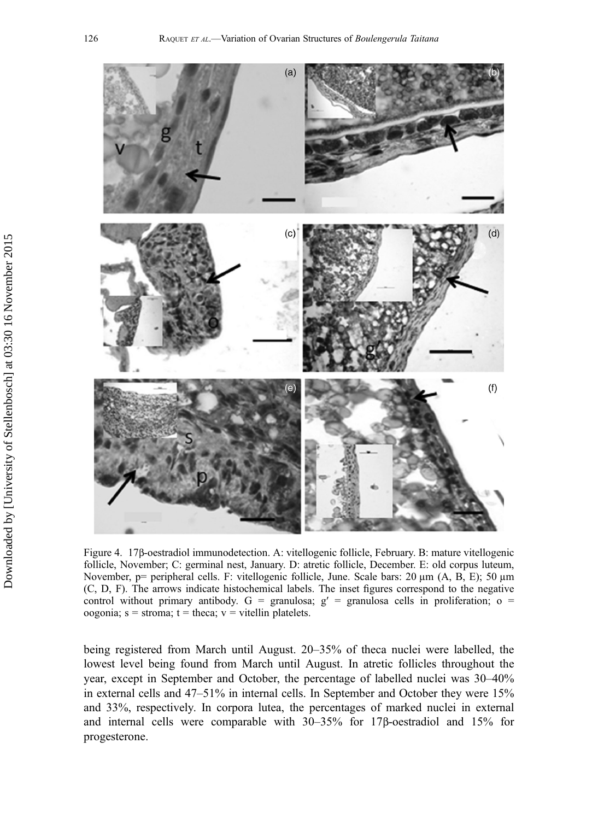<span id="page-10-0"></span>

Figure 4. 17β-oestradiol immunodetection. A: vitellogenic follicle, February. B: mature vitellogenic follicle, November; C: germinal nest, January. D: atretic follicle, December. E: old corpus luteum, November, p= peripheral cells. F: vitellogenic follicle, June. Scale bars: 20  $\mu$ m (A, B, E); 50  $\mu$ m (C, D, F). The arrows indicate histochemical labels. The inset figures correspond to the negative control without primary antibody. G = granulosa;  $g'$  = granulosa cells in proliferation; o = oogonia; s = stroma;  $t =$  theca;  $v =$  vitellin platelets.

being registered from March until August. 20–35% of theca nuclei were labelled, the lowest level being found from March until August. In atretic follicles throughout the year, except in September and October, the percentage of labelled nuclei was 30–40% in external cells and 47–51% in internal cells. In September and October they were 15% and 33%, respectively. In corpora lutea, the percentages of marked nuclei in external and internal cells were comparable with 30–35% for 17β-oestradiol and 15% for progesterone.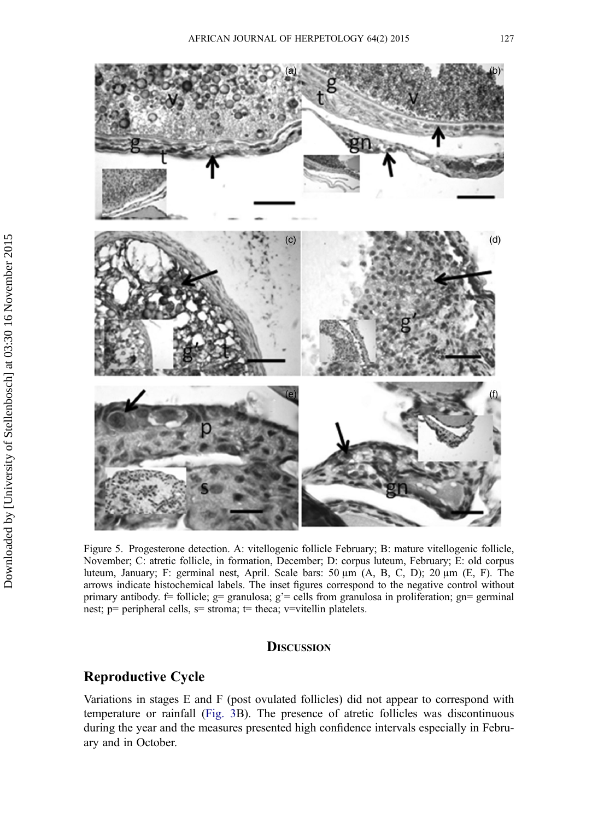<span id="page-11-0"></span>

Figure 5. Progesterone detection. A: vitellogenic follicle February; B: mature vitellogenic follicle, November; C: atretic follicle, in formation, December; D: corpus luteum, February; E: old corpus luteum, January; F: germinal nest, April. Scale bars: 50 µm (A, B, C, D); 20 µm (E, F). The arrows indicate histochemical labels. The inset figures correspond to the negative control without primary antibody. f= follicle; g= granulosa; g'= cells from granulosa in proliferation; gn= germinal nest; p= peripheral cells,  $s=$  stroma;  $t=$  theca;  $v=$ vitellin platelets.

#### **DISCUSSION**

## Reproductive Cycle

Variations in stages E and F (post ovulated follicles) did not appear to correspond with temperature or rainfall [\(Fig. 3B](#page-8-0)). The presence of atretic follicles was discontinuous during the year and the measures presented high confidence intervals especially in February and in October.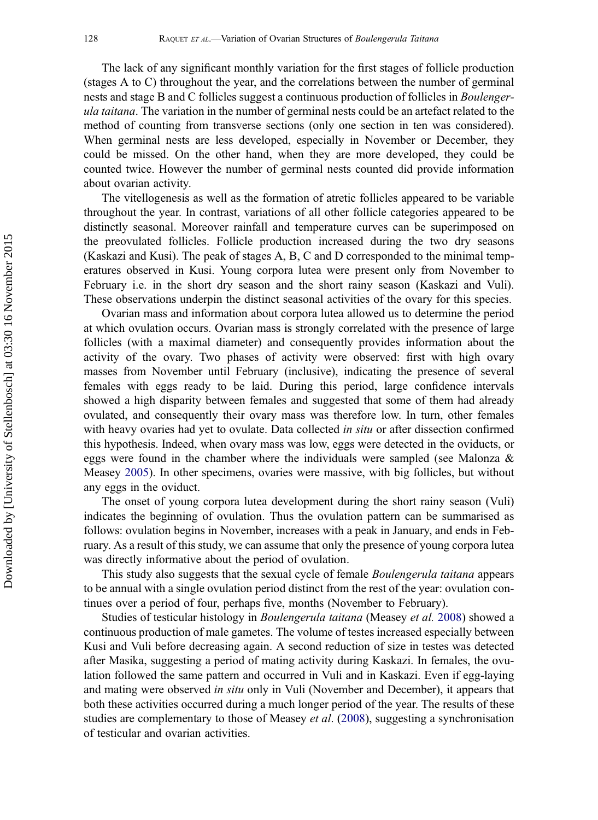The lack of any significant monthly variation for the first stages of follicle production (stages A to C) throughout the year, and the correlations between the number of germinal nests and stage B and C follicles suggest a continuous production of follicles in Boulengerula taitana. The variation in the number of germinal nests could be an artefact related to the method of counting from transverse sections (only one section in ten was considered). When germinal nests are less developed, especially in November or December, they could be missed. On the other hand, when they are more developed, they could be counted twice. However the number of germinal nests counted did provide information about ovarian activity.

The vitellogenesis as well as the formation of atretic follicles appeared to be variable throughout the year. In contrast, variations of all other follicle categories appeared to be distinctly seasonal. Moreover rainfall and temperature curves can be superimposed on the preovulated follicles. Follicle production increased during the two dry seasons (Kaskazi and Kusi). The peak of stages A, B, C and D corresponded to the minimal temperatures observed in Kusi. Young corpora lutea were present only from November to February i.e. in the short dry season and the short rainy season (Kaskazi and Vuli). These observations underpin the distinct seasonal activities of the ovary for this species.

Ovarian mass and information about corpora lutea allowed us to determine the period at which ovulation occurs. Ovarian mass is strongly correlated with the presence of large follicles (with a maximal diameter) and consequently provides information about the activity of the ovary. Two phases of activity were observed: first with high ovary masses from November until February (inclusive), indicating the presence of several females with eggs ready to be laid. During this period, large confidence intervals showed a high disparity between females and suggested that some of them had already ovulated, and consequently their ovary mass was therefore low. In turn, other females with heavy ovaries had yet to ovulate. Data collected *in situ* or after dissection confirmed this hypothesis. Indeed, when ovary mass was low, eggs were detected in the oviducts, or eggs were found in the chamber where the individuals were sampled (see Malonza & Measey [2005](#page-17-0)). In other specimens, ovaries were massive, with big follicles, but without any eggs in the oviduct.

The onset of young corpora lutea development during the short rainy season (Vuli) indicates the beginning of ovulation. Thus the ovulation pattern can be summarised as follows: ovulation begins in November, increases with a peak in January, and ends in February. As a result of this study, we can assume that only the presence of young corpora lutea was directly informative about the period of ovulation.

This study also suggests that the sexual cycle of female Boulengerula taitana appears to be annual with a single ovulation period distinct from the rest of the year: ovulation continues over a period of four, perhaps five, months (November to February).

Studies of testicular histology in Boulengerula taitana (Measey et al. [2008](#page-17-0)) showed a continuous production of male gametes. The volume of testes increased especially between Kusi and Vuli before decreasing again. A second reduction of size in testes was detected after Masika, suggesting a period of mating activity during Kaskazi. In females, the ovulation followed the same pattern and occurred in Vuli and in Kaskazi. Even if egg-laying and mating were observed in situ only in Vuli (November and December), it appears that both these activities occurred during a much longer period of the year. The results of these studies are complementary to those of Measey *et al.* ([2008\)](#page-17-0), suggesting a synchronisation of testicular and ovarian activities.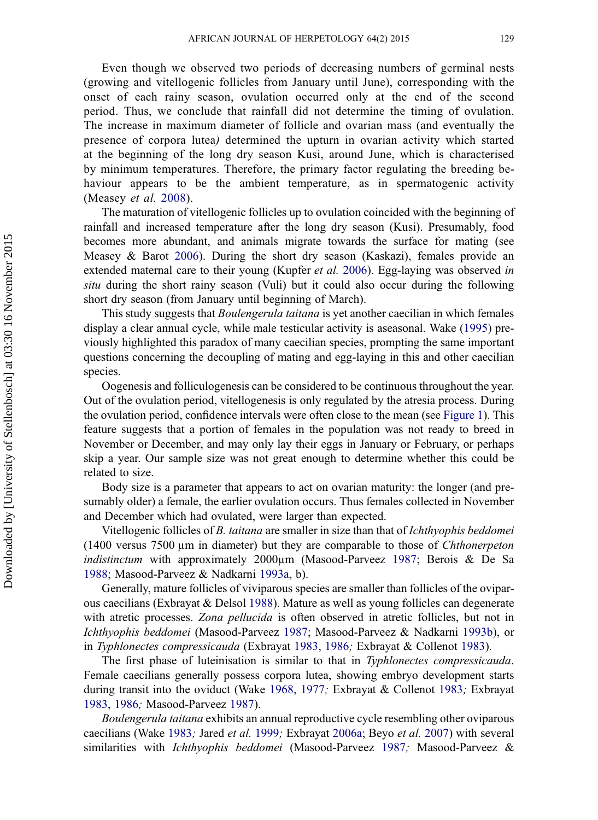Even though we observed two periods of decreasing numbers of germinal nests (growing and vitellogenic follicles from January until June), corresponding with the onset of each rainy season, ovulation occurred only at the end of the second period. Thus, we conclude that rainfall did not determine the timing of ovulation. The increase in maximum diameter of follicle and ovarian mass (and eventually the presence of corpora lutea) determined the upturn in ovarian activity which started at the beginning of the long dry season Kusi, around June, which is characterised by minimum temperatures. Therefore, the primary factor regulating the breeding behaviour appears to be the ambient temperature, as in spermatogenic activity (Measey et al. [2008](#page-17-0)).

The maturation of vitellogenic follicles up to ovulation coincided with the beginning of rainfall and increased temperature after the long dry season (Kusi). Presumably, food becomes more abundant, and animals migrate towards the surface for mating (see Measey & Barot [2006\)](#page-17-0). During the short dry season (Kaskazi), females provide an extended maternal care to their young (Kupfer *et al.* [2006](#page-17-0)). Egg-laying was observed in situ during the short rainy season (Vuli) but it could also occur during the following short dry season (from January until beginning of March).

This study suggests that Boulengerula taitana is yet another caecilian in which females display a clear annual cycle, while male testicular activity is aseasonal. Wake ([1995\)](#page-18-0) previously highlighted this paradox of many caecilian species, prompting the same important questions concerning the decoupling of mating and egg-laying in this and other caecilian species.

Oogenesis and folliculogenesis can be considered to be continuous throughout the year. Out of the ovulation period, vitellogenesis is only regulated by the atresia process. During the ovulation period, confidence intervals were often close to the mean (see [Figure 1\)](#page-4-0). This feature suggests that a portion of females in the population was not ready to breed in November or December, and may only lay their eggs in January or February, or perhaps skip a year. Our sample size was not great enough to determine whether this could be related to size.

Body size is a parameter that appears to act on ovarian maturity: the longer (and presumably older) a female, the earlier ovulation occurs. Thus females collected in November and December which had ovulated, were larger than expected.

Vitellogenic follicles of B. taitana are smaller in size than that of Ichthyophis beddomei (1400 versus 7500 µm in diameter) but they are comparable to those of Chthonerpeton indistinctum with approximately 2000µm (Masood-Parveez [1987](#page-17-0); Berois & De Sa [1988](#page-15-0); Masood-Parveez & Nadkarni [1993a,](#page-17-0) b).

Generally, mature follicles of viviparous species are smaller than follicles of the oviparous caecilians (Exbrayat & Delsol [1988](#page-16-0)). Mature as well as young follicles can degenerate with atretic processes. Zona pellucida is often observed in atretic follicles, but not in Ichthyophis beddomei (Masood-Parveez [1987](#page-17-0); Masood-Parveez & Nadkarni [1993b\)](#page-17-0), or in Typhlonectes compressicauda (Exbrayat [1983,](#page-16-0) [1986](#page-16-0); Exbrayat & Collenot [1983](#page-16-0)).

The first phase of luteinisation is similar to that in Typhlonectes compressicauda. Female caecilians generally possess corpora lutea, showing embryo development starts during transit into the oviduct (Wake [1968](#page-18-0), [1977](#page-18-0); Exbrayat & Collenot [1983](#page-16-0); Exbrayat [1983](#page-16-0), [1986](#page-16-0); Masood-Parveez [1987\)](#page-17-0).

Boulengerula taitana exhibits an annual reproductive cycle resembling other oviparous caecilians (Wake [1983](#page-18-0); Jared et al. [1999](#page-17-0); Exbrayat [2006a](#page-16-0); Beyo et al. [2007](#page-15-0)) with several similarities with Ichthyophis beddomei (Masood-Parveez [1987](#page-17-0); Masood-Parveez &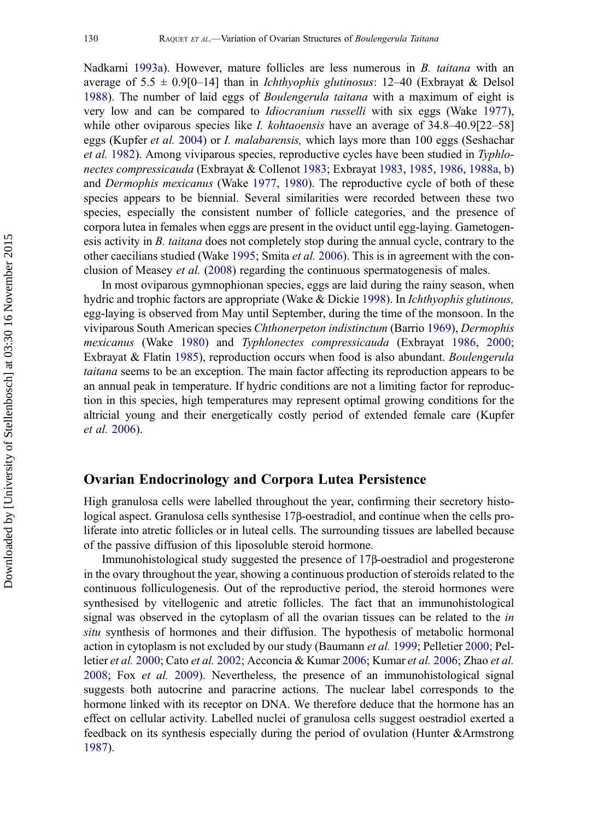Nadkarni [1993a](#page-17-0)). However, mature follicles are less numerous in B. taitana with an average of  $5.5 \pm 0.9[0-14]$  than in *Ichthyophis glutinosus*: 12–40 (Exbrayat & Delsol [1988](#page-16-0)). The number of laid eggs of Boulengerula taitana with a maximum of eight is very low and can be compared to Idiocranium russelli with six eggs (Wake [1977\)](#page-18-0), while other oviparous species like *I. kohtaoensis* have an average of  $34.8-40.9[22-58]$ eggs (Kupfer et al. [2004](#page-17-0)) or I. malabarensis, which lays more than 100 eggs (Seshachar et al. [1982](#page-18-0)). Among viviparous species, reproductive cycles have been studied in Typhlonectes compressicauda (Exbrayat & Collenot [1983](#page-16-0); Exbrayat [1983](#page-16-0), [1985](#page-16-0), [1986](#page-16-0), [1988a](#page-16-0), [b](#page-16-0)) and Dermophis mexicanus (Wake [1977](#page-18-0), [1980](#page-18-0)). The reproductive cycle of both of these species appears to be biennial. Several similarities were recorded between these two species, especially the consistent number of follicle categories, and the presence of corpora lutea in females when eggs are present in the oviduct until egg-laying. Gametogenesis activity in  $B$ . taitana does not completely stop during the annual cycle, contrary to the other caecilians studied (Wake [1995](#page-18-0); Smita et al. [2006](#page-18-0)). This is in agreement with the conclusion of Measey et al. ([2008\)](#page-17-0) regarding the continuous spermatogenesis of males.

In most oviparous gymnophionan species, eggs are laid during the rainy season, when hydric and trophic factors are appropriate (Wake & Dickie [1998](#page-18-0)). In Ichthyophis glutinous, egg-laying is observed from May until September, during the time of the monsoon. In the viviparous South American species Chthonerpeton indistinctum (Barrio [1969](#page-15-0)), Dermophis mexicanus (Wake [1980\)](#page-18-0) and Typhlonectes compressicauda (Exbrayat [1986,](#page-16-0) [2000;](#page-16-0) Exbrayat & Flatin [1985\)](#page-16-0), reproduction occurs when food is also abundant. Boulengerula taitana seems to be an exception. The main factor affecting its reproduction appears to be an annual peak in temperature. If hydric conditions are not a limiting factor for reproduction in this species, high temperatures may represent optimal growing conditions for the altricial young and their energetically costly period of extended female care (Kupfer et al. [2006\)](#page-17-0).

#### Ovarian Endocrinology and Corpora Lutea Persistence

High granulosa cells were labelled throughout the year, confirming their secretory histological aspect. Granulosa cells synthesise 17β-oestradiol, and continue when the cells proliferate into atretic follicles or in luteal cells. The surrounding tissues are labelled because of the passive diffusion of this liposoluble steroid hormone.

Immunohistological study suggested the presence of 17β-oestradiol and progesterone in the ovary throughout the year, showing a continuous production of steroids related to the continuous folliculogenesis. Out of the reproductive period, the steroid hormones were synthesised by vitellogenic and atretic follicles. The fact that an immunohistological signal was observed in the cytoplasm of all the ovarian tissues can be related to the in situ synthesis of hormones and their diffusion. The hypothesis of metabolic hormonal action in cytoplasm is not excluded by our study (Baumann et al. [1999](#page-15-0); Pelletier [2000;](#page-17-0) Pel-letier et al. [2000;](#page-17-0) Cato et al. [2002](#page-16-0); Acconcia & Kumar [2006;](#page-17-0) Kumar et al. 2006; Zhao et al. [2008](#page-18-0); Fox et al. [2009\)](#page-16-0). Nevertheless, the presence of an immunohistological signal suggests both autocrine and paracrine actions. The nuclear label corresponds to the hormone linked with its receptor on DNA. We therefore deduce that the hormone has an effect on cellular activity. Labelled nuclei of granulosa cells suggest oestradiol exerted a feedback on its synthesis especially during the period of ovulation (Hunter &Armstrong [1987](#page-17-0)).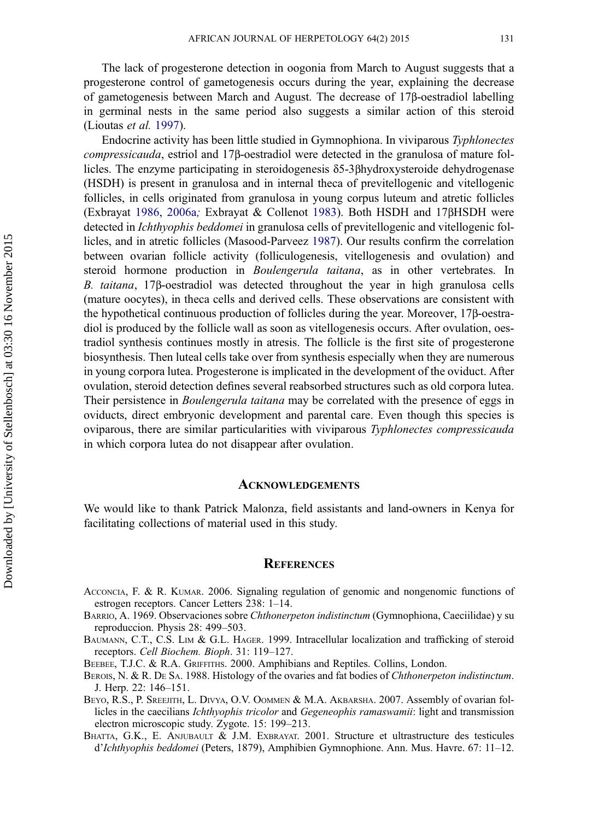<span id="page-15-0"></span>The lack of progesterone detection in oogonia from March to August suggests that a progesterone control of gametogenesis occurs during the year, explaining the decrease of gametogenesis between March and August. The decrease of 17β-oestradiol labelling in germinal nests in the same period also suggests a similar action of this steroid (Lioutas et al. [1997\)](#page-17-0).

Endocrine activity has been little studied in Gymnophiona. In viviparous Typhlonectes compressicauda, estriol and 17β-oestradiol were detected in the granulosa of mature follicles. The enzyme participating in steroidogenesis δ5-3βhydroxysteroide dehydrogenase (HSDH) is present in granulosa and in internal theca of previtellogenic and vitellogenic follicles, in cells originated from granulosa in young corpus luteum and atretic follicles (Exbrayat [1986](#page-16-0), [2006a](#page-16-0); Exbrayat & Collenot [1983](#page-16-0)). Both HSDH and 17βHSDH were detected in Ichthyophis beddomei in granulosa cells of previtellogenic and vitellogenic follicles, and in atretic follicles (Masood-Parveez [1987\)](#page-17-0). Our results confirm the correlation between ovarian follicle activity (folliculogenesis, vitellogenesis and ovulation) and steroid hormone production in Boulengerula taitana, as in other vertebrates. In B. taitana, 17β-oestradiol was detected throughout the year in high granulosa cells (mature oocytes), in theca cells and derived cells. These observations are consistent with the hypothetical continuous production of follicles during the year. Moreover, 17β-oestradiol is produced by the follicle wall as soon as vitellogenesis occurs. After ovulation, oestradiol synthesis continues mostly in atresis. The follicle is the first site of progesterone biosynthesis. Then luteal cells take over from synthesis especially when they are numerous in young corpora lutea. Progesterone is implicated in the development of the oviduct. After ovulation, steroid detection defines several reabsorbed structures such as old corpora lutea. Their persistence in *Boulengerula taitana* may be correlated with the presence of eggs in oviducts, direct embryonic development and parental care. Even though this species is oviparous, there are similar particularities with viviparous Typhlonectes compressicauda in which corpora lutea do not disappear after ovulation.

#### **ACKNOWLEDGEMENTS**

We would like to thank Patrick Malonza, field assistants and land-owners in Kenya for facilitating collections of material used in this study.

#### **REFERENCES**

- ACCONCIA, F. & R. KUMAR. 2006. Signaling regulation of genomic and nongenomic functions of estrogen receptors. Cancer Letters 238: 1–14.
- BARRIO, A. 1969. Observaciones sobre Chthonerpeton indistinctum (Gymnophiona, Caeciilidae) y su reproduccion. Physis 28: 499–503.
- BAUMANN, C.T., C.S. LIM & G.L. HAGER. 1999. Intracellular localization and trafficking of steroid receptors. Cell Biochem. Bioph. 31: 119–127.
- BEEBEE, T.J.C. & R.A. GRIFFITHS. 2000. Amphibians and Reptiles. Collins, London.
- BEROIS, N. & R. DE SA. 1988. Histology of the ovaries and fat bodies of Chthonerpeton indistinctum. J. Herp. 22: 146–151.
- BEYO, R.S., P. SREEJITH, L. DIVYA, O.V. OOMMEN & M.A. AKBARSHA. 2007. Assembly of ovarian follicles in the caecilians Ichthyophis tricolor and Gegeneophis ramaswamii: light and transmission electron microscopic study. Zygote. 15: 199–213.
- BHATTA, G.K., E. ANJUBAULT & J.M. EXBRAYAT. 2001. Structure et ultrastructure des testicules d'Ichthyophis beddomei (Peters, 1879), Amphibien Gymnophione. Ann. Mus. Havre. 67: 11–12.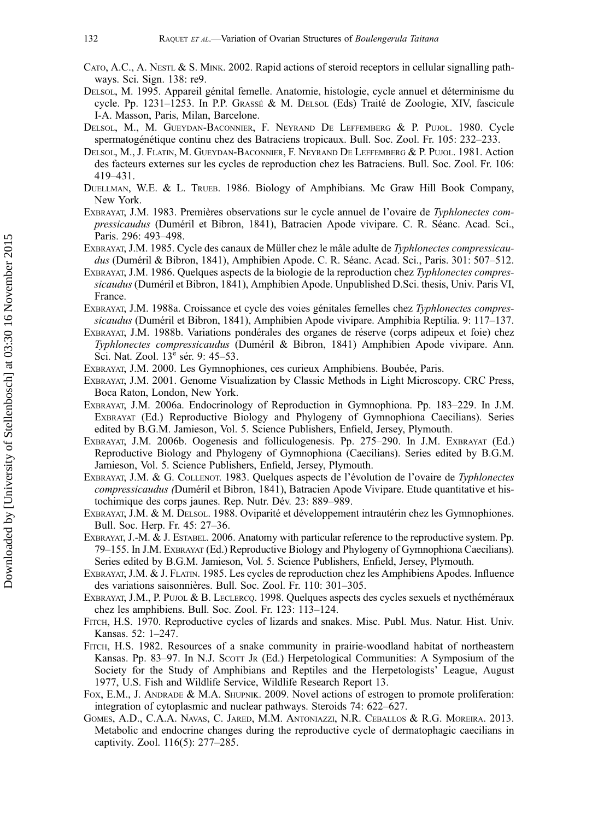- <span id="page-16-0"></span>CATO, A.C., A. NESTL & S. MINK. 2002. Rapid actions of steroid receptors in cellular signalling pathways. Sci. Sign. 138: re9.
- DELSOL, M. 1995. Appareil génital femelle. Anatomie, histologie, cycle annuel et déterminisme du cycle. Pp. 1231–1253. In P.P. GRASSÉ & M. DELSOL (Eds) Traité de Zoologie, XIV, fascicule I-A. Masson, Paris, Milan, Barcelone.
- DELSOL, M., M. GUEYDAN-BACONNIER, F. NEYRAND DE LEFFEMBERG & P. PUJOL. 1980. Cycle spermatogénétique continu chez des Batraciens tropicaux. Bull. Soc. Zool. Fr. 105: 232–233.
- DELSOL, M., J. FLATIN, M. GUEYDAN-BACONNIER, F. NEYRAND DE LEFFEMBERG & P. PUJOL. 1981. Action des facteurs externes sur les cycles de reproduction chez les Batraciens. Bull. Soc. Zool. Fr. 106: 419–431.
- DUELLMAN, W.E. & L. TRUEB. 1986. Biology of Amphibians. Mc Graw Hill Book Company, New York.
- EXBRAYAT, J.M. 1983. Premières observations sur le cycle annuel de l'ovaire de Typhlonectes compressicaudus (Duméril et Bibron, 1841), Batracien Apode vivipare. C. R. Séanc. Acad. Sci., Paris. 296: 493–498.
- EXBRAYAT, J.M. 1985. Cycle des canaux de Müller chez le mâle adulte de Typhlonectes compressicaudus (Duméril & Bibron, 1841), Amphibien Apode. C. R. Séanc. Acad. Sci., Paris. 301: 507-512.
- EXBRAYAT, J.M. 1986. Quelques aspects de la biologie de la reproduction chez Typhlonectes compressicaudus (Duméril et Bibron, 1841), Amphibien Apode. Unpublished D.Sci. thesis, Univ. Paris VI, France.
- EXBRAYAT, J.M. 1988a. Croissance et cycle des voies génitales femelles chez Typhlonectes compressicaudus (Duméril et Bibron, 1841), Amphibien Apode vivipare. Amphibia Reptilia. 9: 117–137.
- EXBRAYAT, J.M. 1988b. Variations pondérales des organes de réserve (corps adipeux et foie) chez Typhlonectes compressicaudus (Duméril & Bibron, 1841) Amphibien Apode vivipare. Ann. Sci. Nat. Zool. 13<sup>e</sup> sér. 9: 45–53.
- EXBRAYAT, J.M. 2000. Les Gymnophiones, ces curieux Amphibiens. Boubée, Paris.
- EXBRAYAT, J.M. 2001. Genome Visualization by Classic Methods in Light Microscopy. CRC Press, Boca Raton, London, New York.
- EXBRAYAT, J.M. 2006a. Endocrinology of Reproduction in Gymnophiona. Pp. 183–229. In J.M. EXBRAYAT (Ed.) Reproductive Biology and Phylogeny of Gymnophiona Caecilians). Series edited by B.G.M. Jamieson, Vol. 5. Science Publishers, Enfield, Jersey, Plymouth.
- EXBRAYAT, J.M. 2006b. Oogenesis and folliculogenesis. Pp. 275–290. In J.M. EXBRAYAT (Ed.) Reproductive Biology and Phylogeny of Gymnophiona (Caecilians). Series edited by B.G.M. Jamieson, Vol. 5. Science Publishers, Enfield, Jersey, Plymouth.
- EXBRAYAT, J.M. & G. COLLENOT. 1983. Quelques aspects de l'évolution de l'ovaire de Typhlonectes compressicaudus (Duméril et Bibron, 1841), Batracien Apode Vivipare. Etude quantitative et histochimique des corps jaunes. Rep. Nutr. Dév. 23: 889–989.
- EXBRAYAT, J.M. & M. DELSOL. 1988. Oviparité et développement intrautérin chez les Gymnophiones. Bull. Soc. Herp. Fr. 45: 27–36.
- EXBRAYAT, J.-M. & J. ESTABEL. 2006. Anatomy with particular reference to the reproductive system. Pp. 79–155. In J.M. EXBRAYAT (Ed.) Reproductive Biology and Phylogeny of Gymnophiona Caecilians). Series edited by B.G.M. Jamieson, Vol. 5. Science Publishers, Enfield, Jersey, Plymouth.
- EXBRAYAT, J.M. & J. FLATIN. 1985. Les cycles de reproduction chez les Amphibiens Apodes. Influence des variations saisonnières. Bull. Soc. Zool. Fr. 110: 301–305.
- EXBRAYAT, J.M., P. PUJOL & B. LECLERCQ. 1998. Quelques aspects des cycles sexuels et nycthéméraux chez les amphibiens. Bull. Soc. Zool. Fr. 123: 113–124.
- FITCH, H.S. 1970. Reproductive cycles of lizards and snakes. Misc. Publ. Mus. Natur. Hist. Univ. Kansas. 52: 1–247.
- FITCH, H.S. 1982. Resources of a snake community in prairie-woodland habitat of northeastern Kansas. Pp. 83–97. In N.J. Scott Jr. (Ed.) Herpetological Communities: A Symposium of the Society for the Study of Amphibians and Reptiles and the Herpetologists' League, August 1977, U.S. Fish and Wildlife Service, Wildlife Research Report 13.
- FOX, E.M., J. ANDRADE & M.A. SHUPNIK. 2009. Novel actions of estrogen to promote proliferation: integration of cytoplasmic and nuclear pathways. Steroids 74: 622–627.
- GOMES, A.D., C.A.A. NAVAS, C. JARED, M.M. ANTONIAZZI, N.R. CEBALLOS & R.G. MOREIRA. 2013. Metabolic and endocrine changes during the reproductive cycle of dermatophagic caecilians in captivity. Zool. 116(5): 277–285.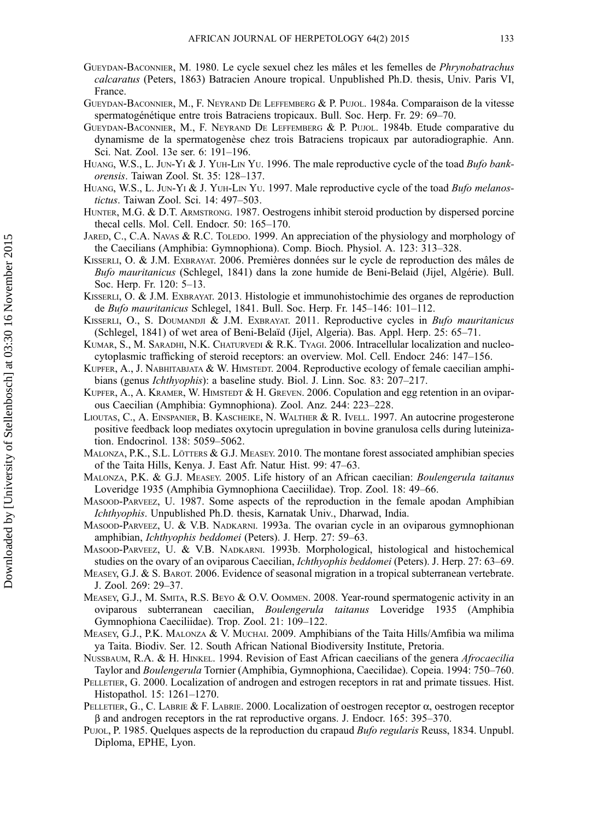- <span id="page-17-0"></span>GUEYDAN-BACONNIER, M. 1980. Le cycle sexuel chez les mâles et les femelles de Phrynobatrachus calcaratus (Peters, 1863) Batracien Anoure tropical. Unpublished Ph.D. thesis, Univ. Paris VI, France.
- GUEYDAN-BACONNIER, M., F. NEYRAND DE LEFFEMBERG & P. PUJOL. 1984a. Comparaison de la vitesse spermatogénétique entre trois Batraciens tropicaux. Bull. Soc. Herp. Fr. 29: 69–70.
- GUEYDAN-BACONNIER, M., F. NEYRAND DE LEFFEMBERG & P. PUJOL. 1984b. Etude comparative du dynamisme de la spermatogenèse chez trois Batraciens tropicaux par autoradiographie. Ann. Sci. Nat. Zool. 13e ser. 6: 191–196.
- HUANG, W.S., L. JUN-YI & J. YUH-LIN YU. 1996. The male reproductive cycle of the toad Bufo bankorensis. Taiwan Zool. St. 35: 128–137.
- HUANG, W.S., L. JUN-YI & J. YUH-LIN YU. 1997. Male reproductive cycle of the toad *Bufo melanos*tictus. Taiwan Zool. Sci. 14: 497–503.
- HUNTER, M.G. & D.T. ARMSTRONG. 1987. Oestrogens inhibit steroid production by dispersed porcine thecal cells. Mol. Cell. Endocr. 50: 165–170.
- JARED, C., C.A. NAVAS & R.C. TOLEDO. 1999. An appreciation of the physiology and morphology of the Caecilians (Amphibia: Gymnophiona). Comp. Bioch. Physiol. A. 123: 313–328.
- KISSERLI, O. & J.M. EXBRAYAT. 2006. Premières données sur le cycle de reproduction des mâles de Bufo mauritanicus (Schlegel, 1841) dans la zone humide de Beni-Belaid (Jijel, Algérie). Bull. Soc. Herp. Fr. 120: 5–13.
- KISSERLI, O. & J.M. EXBRAYAT. 2013. Histologie et immunohistochimie des organes de reproduction de Bufo mauritanicus Schlegel, 1841. Bull. Soc. Herp. Fr. 145–146: 101–112.
- KISSERLI, O., S. DOUMANDJI & J.M. EXBRAYAT. 2011. Reproductive cycles in Bufo mauritanicus (Schlegel, 1841) of wet area of Beni-Belaïd (Jijel, Algeria). Bas. Appl. Herp. 25: 65–71.
- KUMAR, S., M. SARADHI, N.K. CHATURVEDI & R.K. TYAGI. 2006. Intracellular localization and nucleocytoplasmic trafficking of steroid receptors: an overview. Mol. Cell. Endocr. 246: 147–156.
- KUPFER, A., J. NABHITABJATA & W. HIMSTEDT. 2004. Reproductive ecology of female caecilian amphibians (genus Ichthyophis): a baseline study. Biol. J. Linn. Soc. 83: 207–217.
- KUPFER, A., A. KRAMER, W. HIMSTEDT & H. GREVEN. 2006. Copulation and egg retention in an oviparous Caecilian (Amphibia: Gymnophiona). Zool. Anz. 244: 223–228.
- LIOUTAS, C., A. EINSPANIER, B. KASCHEIKE, N. WALTHER & R. IVELL. 1997. An autocrine progesterone positive feedback loop mediates oxytocin upregulation in bovine granulosa cells during luteinization. Endocrinol. 138: 5059–5062.
- MALONZA, P.K., S.L. LÖTTERS & G.J. MEASEY. 2010. The montane forest associated amphibian species of the Taita Hills, Kenya. J. East Afr. Natur. Hist. 99: 47–63.
- MALONZA, P.K. & G.J. MEASEY. 2005. Life history of an African caecilian: Boulengerula taitanus Loveridge 1935 (Amphibia Gymnophiona Caeciilidae). Trop. Zool. 18: 49–66.
- MASOOD-PARVEEZ, U. 1987. Some aspects of the reproduction in the female apodan Amphibian Ichthyophis. Unpublished Ph.D. thesis, Karnatak Univ., Dharwad, India.
- MASOOD-PARVEEZ, U. & V.B. NADKARNI. 1993a. The ovarian cycle in an oviparous gymnophionan amphibian, Ichthyophis beddomei (Peters). J. Herp. 27: 59–63.
- MASOOD-PARVEEZ, U. & V.B. NADKARNI. 1993b. Morphological, histological and histochemical studies on the ovary of an oviparous Caecilian, Ichthyophis beddomei (Peters). J. Herp. 27: 63–69.
- MEASEY, G.J. & S. BAROT. 2006. Evidence of seasonal migration in a tropical subterranean vertebrate. J. Zool. 269: 29–37.
- MEASEY, G.J., M. SMITA, R.S. BEYO & O.V. OOMMEN. 2008. Year-round spermatogenic activity in an oviparous subterranean caecilian, Boulengerula taitanus Loveridge 1935 (Amphibia Gymnophiona Caeciliidae). Trop. Zool. 21: 109–122.
- MEASEY, G.J., P.K. MALONZA & V. MUCHAI. 2009. Amphibians of the Taita Hills/Amfibia wa milima ya Taita. Biodiv. Ser. 12. South African National Biodiversity Institute, Pretoria.
- NUSSBAUM, R.A. & H. HINKEL. 1994. Revision of East African caecilians of the genera Afrocaecilia Taylor and Boulengerula Tornier (Amphibia, Gymnophiona, Caecilidae). Copeia. 1994: 750–760.
- PELLETIER, G. 2000. Localization of androgen and estrogen receptors in rat and primate tissues. Hist. Histopathol. 15: 1261–1270.
- PELLETIER, G., C. LABRIE & F. LABRIE. 2000. Localization of oestrogen receptor  $\alpha$ , oestrogen receptor β and androgen receptors in the rat reproductive organs. J. Endocr. 165: 395–370.
- PUJOL, P. 1985. Quelques aspects de la reproduction du crapaud Bufo regularis Reuss, 1834. Unpubl. Diploma, EPHE, Lyon.